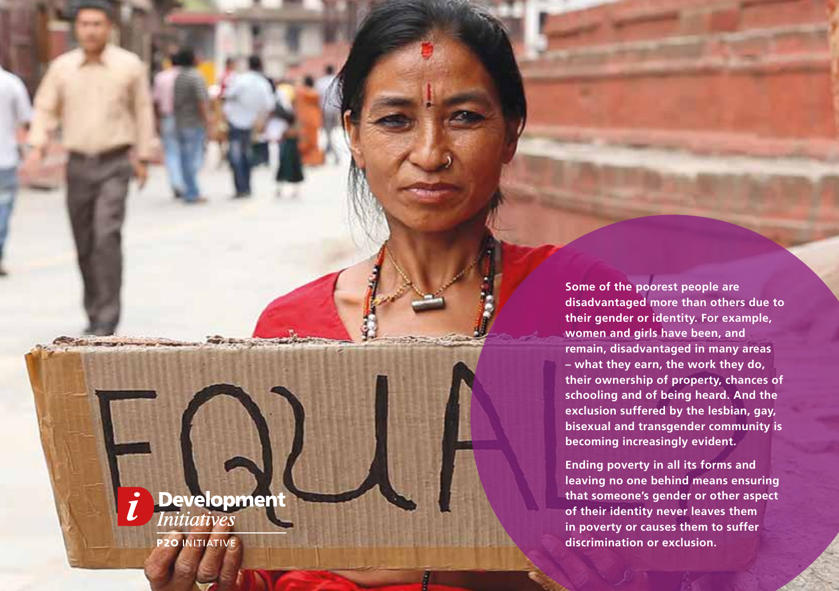**Some of the poorest people are disadvantaged more than others due to their gender or identity. For example, women and girls have been, and remain, disadvantaged in many areas – what they earn, the work they do, their ownership of property, chances of schooling and of being heard. And the exclusion suffered by the lesbian, gay, bisexual and transgender community is becoming increasingly evident.** 

**Ending poverty in all its forms and leaving no one behind means ensuring that someone's gender or other aspect of their identity never leaves them in poverty or causes them to suffer discrimination or exclusion.**

Development **P2O INITIATIVE**